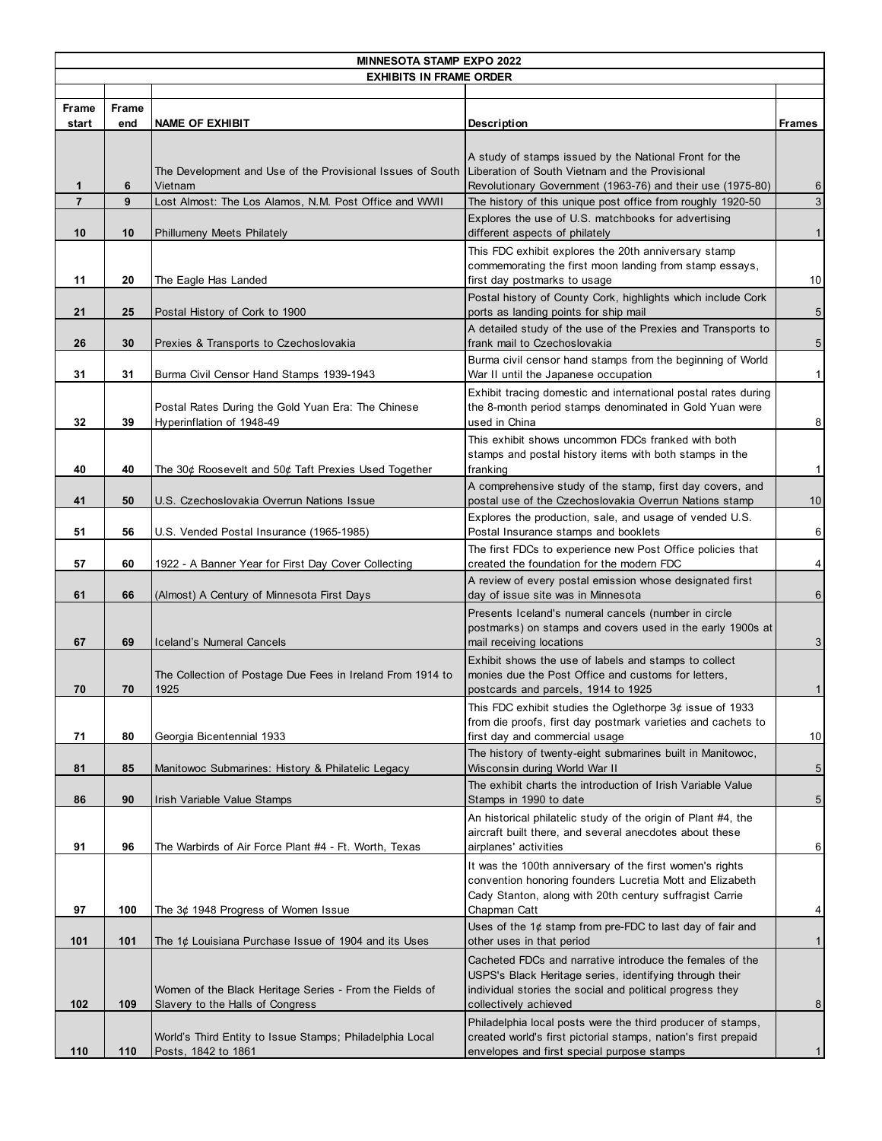| <b>MINNESOTA STAMP EXPO 2022</b> |                     |                                                                                                            |                                                                                                                                                                                                           |                         |  |  |  |  |
|----------------------------------|---------------------|------------------------------------------------------------------------------------------------------------|-----------------------------------------------------------------------------------------------------------------------------------------------------------------------------------------------------------|-------------------------|--|--|--|--|
| <b>EXHIBITS IN FRAME ORDER</b>   |                     |                                                                                                            |                                                                                                                                                                                                           |                         |  |  |  |  |
|                                  |                     |                                                                                                            |                                                                                                                                                                                                           |                         |  |  |  |  |
| <b>Frame</b><br>start            | <b>Frame</b><br>end | <b>NAME OF EXHIBIT</b>                                                                                     | Description                                                                                                                                                                                               | <b>Frames</b>           |  |  |  |  |
|                                  |                     |                                                                                                            |                                                                                                                                                                                                           |                         |  |  |  |  |
|                                  |                     | The Development and Use of the Provisional Issues of South Liberation of South Vietnam and the Provisional | A study of stamps issued by the National Front for the                                                                                                                                                    |                         |  |  |  |  |
| $\mathbf{1}$                     | 6                   | Vietnam                                                                                                    | Revolutionary Government (1963-76) and their use (1975-80)                                                                                                                                                | $6 \overline{6}$        |  |  |  |  |
| $\overline{7}$                   | 9                   | Lost Almost: The Los Alamos, N.M. Post Office and WWII                                                     | The history of this unique post office from roughly 1920-50                                                                                                                                               | $\sqrt{3}$              |  |  |  |  |
|                                  |                     |                                                                                                            | Explores the use of U.S. matchbooks for advertising                                                                                                                                                       |                         |  |  |  |  |
| 10                               | 10                  | <b>Phillumeny Meets Philately</b>                                                                          | different aspects of philately                                                                                                                                                                            | 1                       |  |  |  |  |
| 11                               | 20                  | The Eagle Has Landed                                                                                       | This FDC exhibit explores the 20th anniversary stamp<br>commemorating the first moon landing from stamp essays,<br>first day postmarks to usage                                                           | 10                      |  |  |  |  |
|                                  |                     |                                                                                                            | Postal history of County Cork, highlights which include Cork                                                                                                                                              |                         |  |  |  |  |
| 21                               | 25                  | Postal History of Cork to 1900                                                                             | ports as landing points for ship mail                                                                                                                                                                     | $\sqrt{5}$              |  |  |  |  |
| 26                               | 30                  | Prexies & Transports to Czechoslovakia                                                                     | A detailed study of the use of the Prexies and Transports to<br>frank mail to Czechoslovakia                                                                                                              | $\sqrt{5}$              |  |  |  |  |
| 31                               | 31                  | Burma Civil Censor Hand Stamps 1939-1943                                                                   | Burma civil censor hand stamps from the beginning of World<br>War II until the Japanese occupation                                                                                                        | $\mathbf{1}$            |  |  |  |  |
| 32                               | 39                  | Postal Rates During the Gold Yuan Era: The Chinese<br>Hyperinflation of 1948-49                            | Exhibit tracing domestic and international postal rates during<br>the 8-month period stamps denominated in Gold Yuan were<br>used in China                                                                | $\bf 8$                 |  |  |  |  |
| 40                               | 40                  | The 30¢ Roosevelt and 50¢ Taft Prexies Used Together                                                       | This exhibit shows uncommon FDCs franked with both<br>stamps and postal history items with both stamps in the<br>franking                                                                                 | $\mathbf{1}$            |  |  |  |  |
| 41                               | 50                  | U.S. Czechoslovakia Overrun Nations Issue                                                                  | A comprehensive study of the stamp, first day covers, and<br>postal use of the Czechoslovakia Overrun Nations stamp                                                                                       | 10                      |  |  |  |  |
| 51                               | 56                  | U.S. Vended Postal Insurance (1965-1985)                                                                   | Explores the production, sale, and usage of vended U.S.<br>Postal Insurance stamps and booklets                                                                                                           | $\,6$                   |  |  |  |  |
| 57                               | 60                  | 1922 - A Banner Year for First Day Cover Collecting                                                        | The first FDCs to experience new Post Office policies that<br>created the foundation for the modern FDC                                                                                                   | $\overline{\mathbf{4}}$ |  |  |  |  |
| 61                               | 66                  | (Almost) A Century of Minnesota First Days                                                                 | A review of every postal emission whose designated first<br>day of issue site was in Minnesota                                                                                                            | $\,6$                   |  |  |  |  |
| 67                               | 69                  | Iceland's Numeral Cancels                                                                                  | Presents Iceland's numeral cancels (number in circle<br>postmarks) on stamps and covers used in the early 1900s at<br>mail receiving locations                                                            | $\sqrt{3}$              |  |  |  |  |
| 70                               | 70                  | The Collection of Postage Due Fees in Ireland From 1914 to<br>1925                                         | Exhibit shows the use of labels and stamps to collect<br>monies due the Post Office and customs for letters,<br>postcards and parcels, 1914 to 1925                                                       | 1                       |  |  |  |  |
| 71                               | 80                  | Georgia Bicentennial 1933                                                                                  | This FDC exhibit studies the Oglethorpe 3¢ issue of 1933<br>from die proofs, first day postmark varieties and cachets to<br>first day and commercial usage                                                | 10                      |  |  |  |  |
| 81                               | 85                  | Manitowoc Submarines: History & Philatelic Legacy                                                          | The history of twenty-eight submarines built in Manitowoc,<br>Wisconsin during World War II                                                                                                               | $\sqrt{5}$              |  |  |  |  |
| 86                               | 90                  | Irish Variable Value Stamps                                                                                | The exhibit charts the introduction of Irish Variable Value<br>Stamps in 1990 to date                                                                                                                     | $\sqrt{5}$              |  |  |  |  |
| 91                               | 96                  | The Warbirds of Air Force Plant #4 - Ft. Worth, Texas                                                      | An historical philatelic study of the origin of Plant #4, the<br>aircraft built there, and several anecdotes about these<br>airplanes' activities                                                         | 6                       |  |  |  |  |
| 97                               | 100                 | The 3¢ 1948 Progress of Women Issue                                                                        | It was the 100th anniversary of the first women's rights<br>convention honoring founders Lucretia Mott and Elizabeth<br>Cady Stanton, along with 20th century suffragist Carrie<br>Chapman Catt           | $\overline{\mathbf{4}}$ |  |  |  |  |
| 101                              | 101                 | The 1¢ Louisiana Purchase Issue of 1904 and its Uses                                                       | Uses of the $1¢$ stamp from pre-FDC to last day of fair and<br>other uses in that period                                                                                                                  | $\mathbf{1}$            |  |  |  |  |
| 102                              | 109                 | Women of the Black Heritage Series - From the Fields of<br>Slavery to the Halls of Congress                | Cacheted FDCs and narrative introduce the females of the<br>USPS's Black Heritage series, identifying through their<br>individual stories the social and political progress they<br>collectively achieved | $\bf 8$                 |  |  |  |  |
| 110                              | 110                 | World's Third Entity to Issue Stamps; Philadelphia Local<br>Posts, 1842 to 1861                            | Philadelphia local posts were the third producer of stamps,<br>created world's first pictorial stamps, nation's first prepaid<br>envelopes and first special purpose stamps                               | 1                       |  |  |  |  |